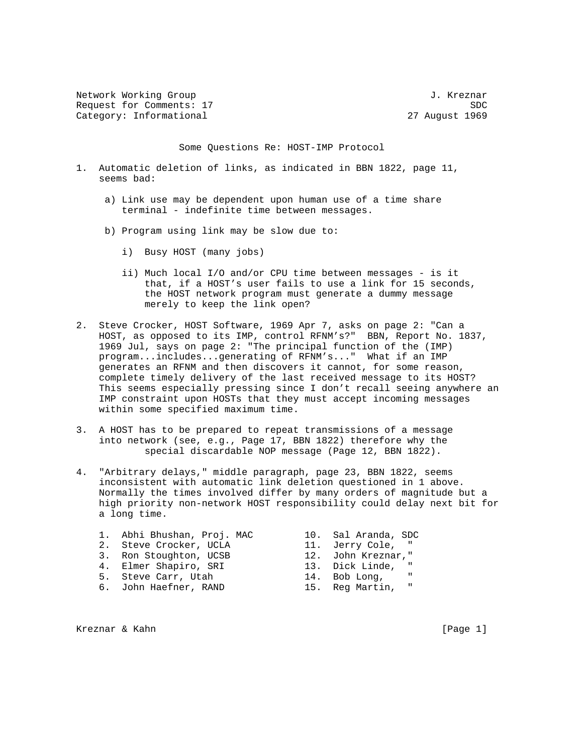Network Working Group 30 and 100 and 100 and 100 and 100 and 100 and 100 and 100 and 100 and 100 and 100 and 1 Request for Comments: 17 SDC Category: Informational 27 August 1969

Some Questions Re: HOST-IMP Protocol

- 1. Automatic deletion of links, as indicated in BBN 1822, page 11, seems bad:
	- a) Link use may be dependent upon human use of a time share terminal - indefinite time between messages.
	- b) Program using link may be slow due to:
		- i) Busy HOST (many jobs)
		- ii) Much local I/O and/or CPU time between messages is it that, if a HOST's user fails to use a link for 15 seconds, the HOST network program must generate a dummy message merely to keep the link open?
- 2. Steve Crocker, HOST Software, 1969 Apr 7, asks on page 2: "Can a HOST, as opposed to its IMP, control RFNM's?" BBN, Report No. 1837, 1969 Jul, says on page 2: "The principal function of the (IMP) program...includes...generating of RFNM's..." What if an IMP generates an RFNM and then discovers it cannot, for some reason, complete timely delivery of the last received message to its HOST? This seems especially pressing since I don't recall seeing anywhere an IMP constraint upon HOSTs that they must accept incoming messages within some specified maximum time.
- 3. A HOST has to be prepared to repeat transmissions of a message into network (see, e.g., Page 17, BBN 1822) therefore why the special discardable NOP message (Page 12, BBN 1822).
- 4. "Arbitrary delays," middle paragraph, page 23, BBN 1822, seems inconsistent with automatic link deletion questioned in 1 above. Normally the times involved differ by many orders of magnitude but a high priority non-network HOST responsibility could delay next bit for a long time.
	- 1. Abhi Bhushan, Proj. MAC 10. Sal Aranda, SDC
	-
- 3. Ron Stoughton, UCSB 12. John Kreznar,"
	-
	-
	-
- 2. Steve Crocker, UCLA 11. Jerry Cole, "<br>3. Ron Stoughton, UCSB 12. John Kreznar," 4. Elmer Shapiro, SRI 13. Dick Linde, " 5. Steve Carr, Utah 14. Bob Long, 6. John Haefner, RAND 15. Reg Martin, "

Kreznar & Kahn **in the contract of the contract of the contract of the contract of the contract of the contract of the contract of the contract of the contract of the contract of the contract of the contract of the contrac**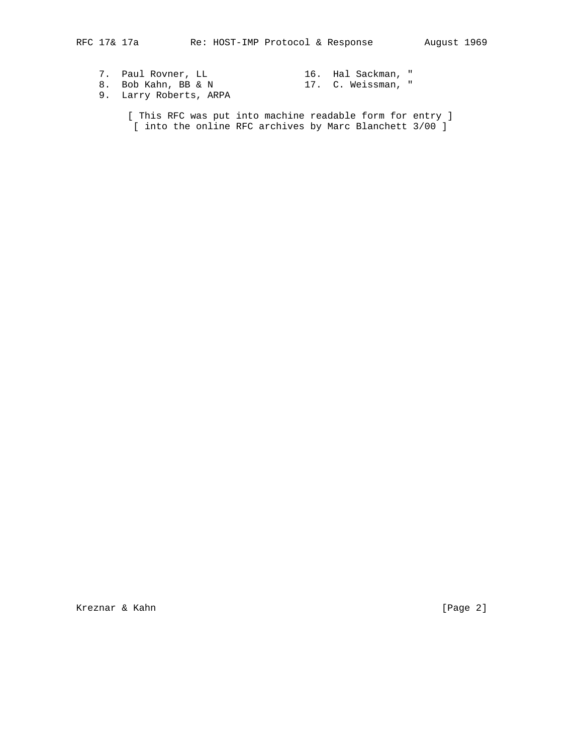- 7. Paul Rovner, LL 16. Hal Sackman, " 8. Bob Kahn, BB & N 17. C. Weissman, " 9. Larry Roberts, ARPA
- [ This RFC was put into machine readable form for entry ] [ into the online RFC archives by Marc Blanchett 3/00 ]

Kreznar & Kahn **in the contract of the contract of the contract of the contract of the contract of the contract of the contract of the contract of the contract of the contract of the contract of the contract of the contrac**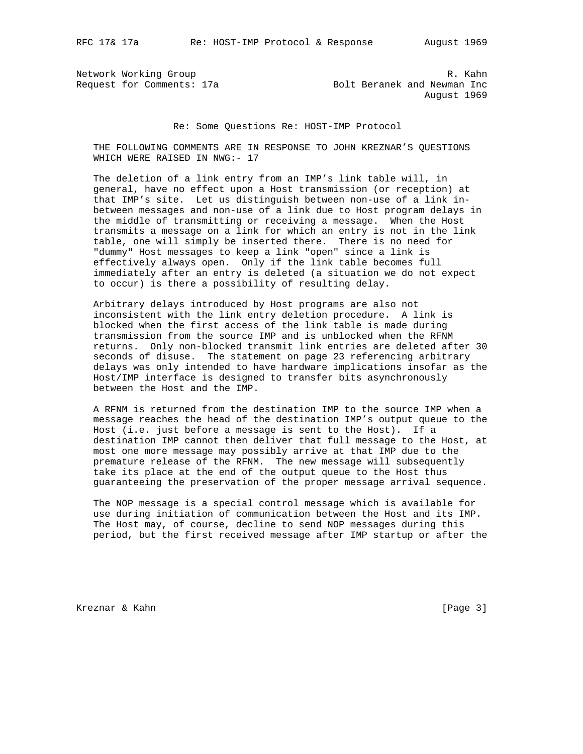Network Working Group and the set of the set of the set of the set of the set of the set of the set of the set of the set of the set of the set of the set of the set of the set of the set of the set of the set of the set o Request for Comments: 17a Bolt Beranek and Newman Inc August 1969

## Re: Some Questions Re: HOST-IMP Protocol

 THE FOLLOWING COMMENTS ARE IN RESPONSE TO JOHN KREZNAR'S QUESTIONS WHICH WERE RAISED IN NWG:- 17

 The deletion of a link entry from an IMP's link table will, in general, have no effect upon a Host transmission (or reception) at that IMP's site. Let us distinguish between non-use of a link in between messages and non-use of a link due to Host program delays in the middle of transmitting or receiving a message. When the Host transmits a message on a link for which an entry is not in the link table, one will simply be inserted there. There is no need for "dummy" Host messages to keep a link "open" since a link is effectively always open. Only if the link table becomes full immediately after an entry is deleted (a situation we do not expect to occur) is there a possibility of resulting delay.

 Arbitrary delays introduced by Host programs are also not inconsistent with the link entry deletion procedure. A link is blocked when the first access of the link table is made during transmission from the source IMP and is unblocked when the RFNM returns. Only non-blocked transmit link entries are deleted after 30 seconds of disuse. The statement on page 23 referencing arbitrary delays was only intended to have hardware implications insofar as the Host/IMP interface is designed to transfer bits asynchronously between the Host and the IMP.

 A RFNM is returned from the destination IMP to the source IMP when a message reaches the head of the destination IMP's output queue to the Host (i.e. just before a message is sent to the Host). If a destination IMP cannot then deliver that full message to the Host, at most one more message may possibly arrive at that IMP due to the premature release of the RFNM. The new message will subsequently take its place at the end of the output queue to the Host thus guaranteeing the preservation of the proper message arrival sequence.

 The NOP message is a special control message which is available for use during initiation of communication between the Host and its IMP. The Host may, of course, decline to send NOP messages during this period, but the first received message after IMP startup or after the

Kreznar & Kahn **in the contract of the contract of the contract of the contract of the contract of the contract of the contract of the contract of the contract of the contract of the contract of the contract of the contrac**